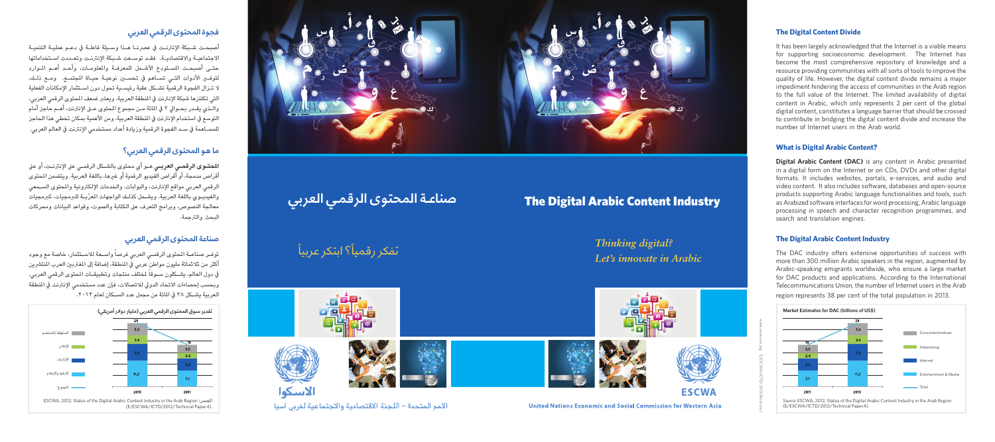أصبحـت شـبكة الإنترنـت في عصرنـا هـذا وسـيلة فاعلـة في دعـم عمليـة التنميـة االجتماعيـة واالقتصاديـة. فقـد توسـعت شـبكة اإلنرتنـت وتعـددت اسـتخداماتها حتـى أصبحـت املسـتودع األشـمل للمعرفـة واملعلومـات، وأحـد أهـم املـوارد لتوفير األدوات التـي تسـاهم يف تحسين نوعيـة حيـاة املجتمـع. ومـع ذلـك، ال تـزال الفجوة الرقمية تشـكل عقبة رئيسـية تحول دون اسـتثمار اإلمكانات الفعلية التي تكتنزها شبكة الإنترنت في المنطقة العربية. ويعتبر ضعف المحتوى الرقمي العربي، والـذي يقــدر بحــوالي ٢ في المائة مــن مجموع المحتوى عــلى الإنترنت، اهــم حاجز أمام التوسع في استخدام الإنترنت في المنطقة العربية، ومن الأهمية بمكان تخطي هذا الحاجز للمسـاهمة يف سـد الفجوة الرقمية وزيادة أعداد مستخدمي اإلنرتنت يف العالم العربي.

ا**لمحتــوى الرقمــي العربــي** هــو اي محتوى بالشــكل الرقمــي على الإنترنــت، او على اقراص مدمجة، او اقراص الفيديو الرقمية او غيرها، باللغة العربية. ويتضمن المحتوى الرقمي العربي مواقع الإنترنت، والبوابات، والخدمات الإلكترونية والمحتوى السـمعي والفيديـوي باللغة العربية. ويشـمل كذلـك الواجهات المعرّبـة للبرمجيات، كبرمجيات معالجة النصوص، وبرامج التعرف على الكتابة والصوت، وقواعد البيانات ومحركات البحث والرتجمة.



# **فجوة المحتوى الرقمي العربي**

# **ما هو المحتوى الرقمي العربي؟**

# **صناعة المحتوى الرقمي العربي**

توفـر صناعــة المحتوى الرقمــي العربي فرصا واســعة للاســتثمار، خاصة مع وجود ً اكثر من ثلاثمائة مليون مواطن عربي في النطقة، إضافة إلى المغتربين العرب المنتشرين في دول العالم، يشــكلون ســوقا لمختلف منتجات وتطبيقــات المحتوى الرقمي العربي. وبحسب إحصاءات الاتحاد الدولي للاتصالات، فإن عدد مستخدمي الإنترنت في المنطقة<br>العربية يشــكل ٣٨ في المائة من مجمل عدد الســكان لعام ٢٠١٣.



# Industry Content Arabic Digital The **صناعـة المحتوى الرقمـي العربي**

ُ تفكر رقمياً؟ ابتكر عربياً





*Thinking digital? Let's innovate in Arabic* 

#### **The Digital Content Divide**

It has been largely acknowledged that the Internet is a viable means for supporting socioeconomic development. The Internet has become the most comprehensive repository of knowledge and a resource providing communities with all sorts of tools to improve the quality of life. However, the digital content divide remains a major impediment hindering the access of communities in the Arab region to the full value of the Internet. The limited availability of digital content in Arabic, which only represents 2 per cent of the global digital content, constitutes a language barrier that should be crossed to contribute in bridging the digital content divide and increase the number of Internet users in the Arab world

#### **What is Digital Arabic Content?**

**Digital Arabic Content (DAC)** is any content in Arabic presented in a digital form on the Internet or on CDs, DVDs and other digital formats. It includes websites, portals, e-services, and audio and video content. It also includes software, databases and open-source products supporting Arabic language functionalities and tools, such as Arabized software interfaces for word processing, Arabic language processing in speech and character recognition programmes, and search and translation engines.

#### **The Digital Arabic Content Industry**

www.escwa.un.org E/ESCWA/ICTD/2013/Brochure.

The DAC industry offers extensive opportunities of success with more than 300 million Arabic speakers in the region, augmented by Arabic-speaking emigrants worldwide, who ensure a large market for DAC products and applications. According to the International Telecommunications Union, the number of Internet users in the Arab



Source: ESCWA, 2012, Status of the Digital Arabic Content Industry in the Arab Region (E/ESCWA/ICTD/2012/Technical Paper.4).